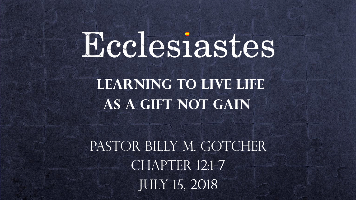# Ecclesiastes

**LEARNING TO LIVE LIFE as a Gift not gain**

PASTOR BILLY M. GOTCHER CHAPTER 12:1-7 July 15, 2018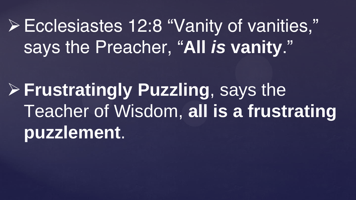Ecclesiastes 12:8 "Vanity of vanities," says the Preacher, "**All** *is* **vanity**."

**Frustratingly Puzzling**, says the Teacher of Wisdom, **all is a frustrating puzzlement**.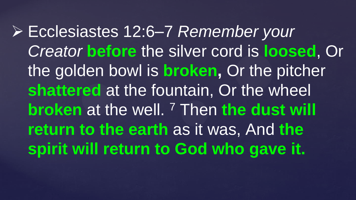Ecclesiastes 12:6–7 *Remember your Creator* **before** the silver cord is **loosed**, Or the golden bowl is **broken,** Or the pitcher **shattered** at the fountain, Or the wheel **broken** at the well. <sup>7</sup> Then **the dust will return to the earth** as it was, And **the spirit will return to God who gave it.**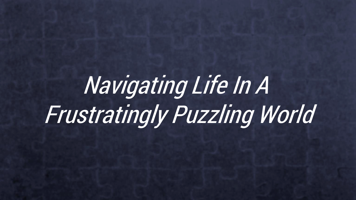# Navigating Life In A Frustratingly Puzzling World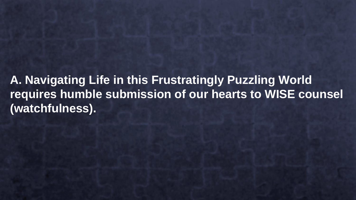**A. Navigating Life in this Frustratingly Puzzling World requires humble submission of our hearts to WISE counsel (watchfulness).**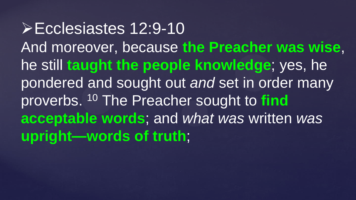Ecclesiastes 12:9-10 And moreover, because **the Preacher was wise**, he still **taught the people knowledge**; yes, he pondered and sought out *and* set in order many proverbs. <sup>10</sup> The Preacher sought to **find acceptable words**; and *what was* written *was* **upright—words of truth**;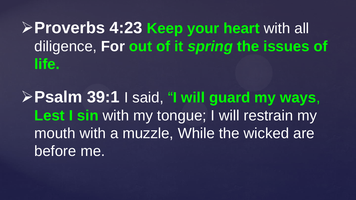**Proverbs 4:23 Keep your heart** with all diligence, **For out of it** *spring* **the issues of life.**

**Psalm 39:1** I said, "**I will guard my ways**, Lest I sin with my tongue; I will restrain my mouth with a muzzle, While the wicked are before me.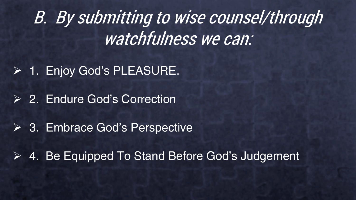B. By submitting to wise counsel/through watchfulness we can:

1. Enjoy God's PLEASURE.

**2. Endure God's Correction** 

**► 3. Embrace God's Perspective** 

4. Be Equipped To Stand Before God's Judgement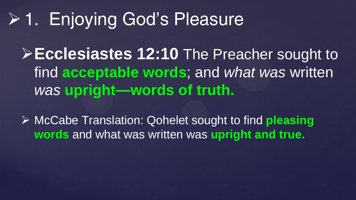## 1. Enjoying God's Pleasure

**Ecclesiastes 12:10** The Preacher sought to find **acceptable words**; and *what was* written *was* **upright—words of truth.**

 McCabe Translation: Qohelet sought to find **pleasing words** and what was written was **upright and true.**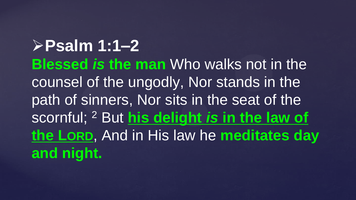**Psalm 1:1–2 Blessed** *is* **the man** Who walks not in the counsel of the ungodly, Nor stands in the path of sinners, Nor sits in the seat of the scornful; <sup>2</sup> But **his delight** *is* **in the law of the LORD**, And in His law he **meditates day and night.**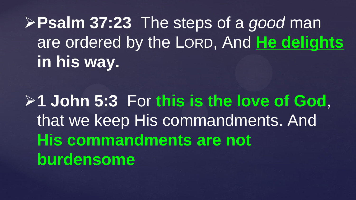**Psalm 37:23** The steps of a *good* man are ordered by the LORD, And **He delights in his way.**

**1 John 5:3** For **this is the love of God**, that we keep His commandments. And **His commandments are not burdensome**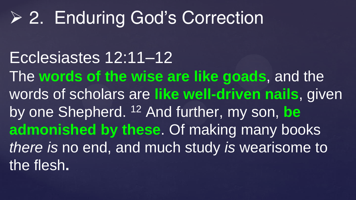### 2. Enduring God's Correction

Ecclesiastes 12:11–12 The **words of the wise are like goads**, and the words of scholars are **like well-driven nails**, given by one Shepherd. <sup>12</sup> And further, my son, **be admonished by these**. Of making many books *there is* no end, and much study *is* wearisome to the flesh**.**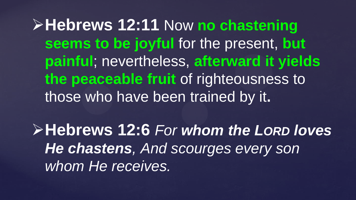**Hebrews 12:11** Now **no chastening seems to be joyful** for the present, **but painful**; nevertheless, **afterward it yields the peaceable fruit** of righteousness to those who have been trained by it**.**

**Hebrews 12:6** *For whom the LORD loves He chastens, And scourges every son whom He receives.*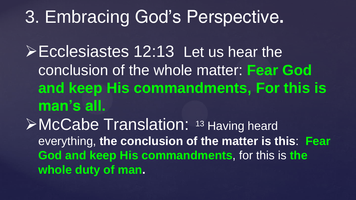### 3. Embracing God's Perspective**.**

Ecclesiastes 12:13 Let us hear the conclusion of the whole matter: **Fear God and keep His commandments, For this is man's all.** McCabe Translation: <sup>13</sup> Having heard everything, **the conclusion of the matter is this**: **Fear God and keep His commandments**, for this is **the whole duty of man.**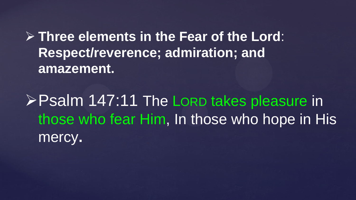**Three elements in the Fear of the Lord**: **Respect/reverence; admiration; and amazement.**

**Psalm 147:11 The LORD takes pleasure in** those who fear Him, In those who hope in His mercy**.**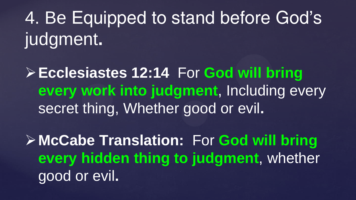4. Be Equipped to stand before God's judgment**.** 

**Ecclesiastes 12:14** For **God will bring every work into judgment**, Including every secret thing, Whether good or evil**.**

**McCabe Translation:** For **God will bring every hidden thing to judgment**, whether good or evil**.**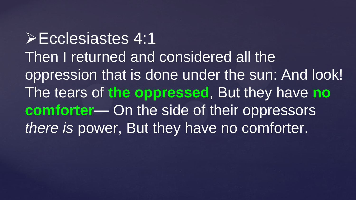Ecclesiastes 4:1 Then I returned and considered all the oppression that is done under the sun: And look! The tears of **the oppressed**, But they have **no comforter**— On the side of their oppressors *there is* power, But they have no comforter.